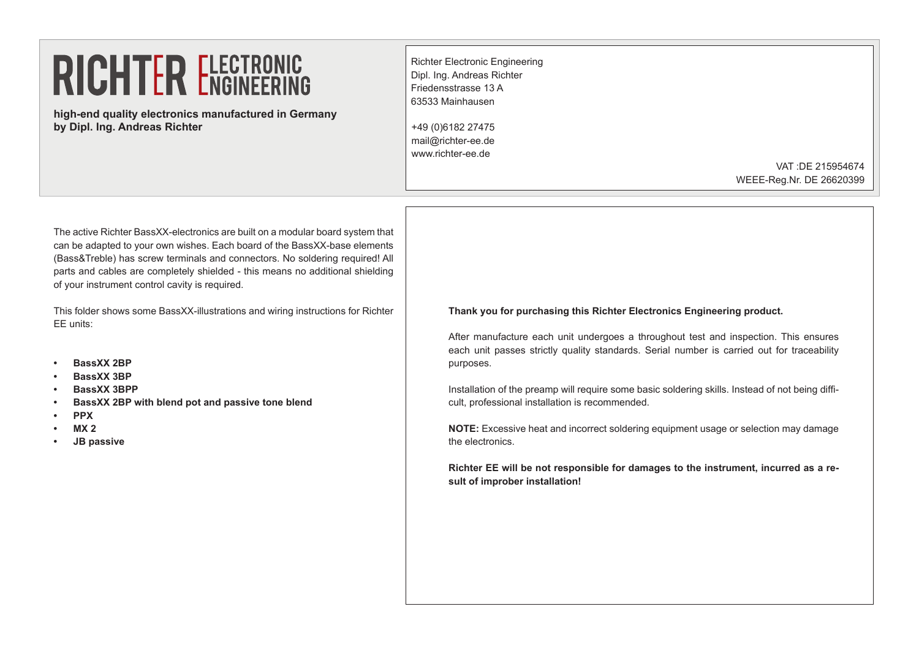**high-end quality electronics manufactured in Germany by Dipl. Ing. Andreas Richter**

Richter Electronic Engineering Dipl. Ing. Andreas Richter Friedensstrasse 13 A 63533 Mainhausen

+49 (0)6182 27475 mail@richter-ee.de www.richter-ee.de

> VAT :DE 215954674 WEEE-Reg.Nr. DE 26620399

The active Richter BassXX-electronics are built on a modular board system that can be adapted to your own wishes. Each board of the BassXX-base elements (Bass&Treble) has screw terminals and connectors. No soldering required! All parts and cables are completely shielded - this means no additional shielding of your instrument control cavity is required.

This folder shows some BassXX-illustrations and wiring instructions for Richter EE units:

- **• BassXX 2BP**
- **• BassXX 3BP**
- **BassXX 3BPP**
- **BassXX 2BP with blend pot and passive tone blend**
- **• PPX**
- **• MX 2**
- **JB** passive

**Thank you for purchasing this Richter Electronics Engineering product.**

After manufacture each unit undergoes a throughout test and inspection. This ensures each unit passes strictly quality standards. Serial number is carried out for traceability purposes.

Installation of the preamp will require some basic soldering skills. Instead of not being difficult, professional installation is recommended.

**NOTE:** Excessive heat and incorrect soldering equipment usage or selection may damage the electronics.

**Richter EE will be not responsible for damages to the instrument, incurred as a result of improber installation!**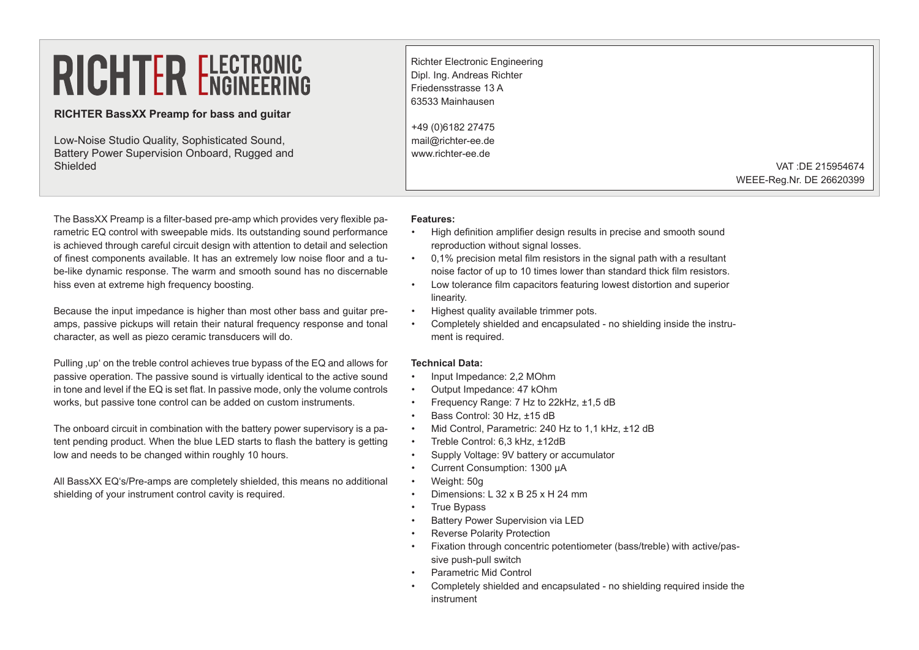### **RICHTER BassXX Preamp for bass and guitar**

Low-Noise Studio Quality, Sophisticated Sound, Battery Power Supervision Onboard, Rugged and Shielded

Richter Electronic Engineering Dipl. Ing. Andreas Richter Friedensstrasse 13 A 63533 Mainhausen +49 (0)6182 27475 mail@richter-ee.de www.richter-ee.de

> VAT :DE 215954674 WEEE-Reg.Nr. DE 26620399

The BassXX Preamp is a filter-based pre-amp which provides very flexible parametric EQ control with sweepable mids. Its outstanding sound performance is achieved through careful circuit design with attention to detail and selection of finest components available. It has an extremely low noise floor and a tube-like dynamic response. The warm and smooth sound has no discernable hiss even at extreme high frequency boosting.

Because the input impedance is higher than most other bass and guitar preamps, passive pickups will retain their natural frequency response and tonal character, as well as piezo ceramic transducers will do.

Pulling up' on the treble control achieves true bypass of the EQ and allows for passive operation. The passive sound is virtually identical to the active sound in tone and level if the EQ is set flat. In passive mode, only the volume controls works, but passive tone control can be added on custom instruments.

The onboard circuit in combination with the battery power supervisory is a patent pending product. When the blue LED starts to flash the battery is getting low and needs to be changed within roughly 10 hours.

All BassXX EQ's/Pre-amps are completely shielded, this means no additional shielding of your instrument control cavity is required.

#### **Features:**

- High definition amplifier design results in precise and smooth sound reproduction without signal losses.
- 0,1% precision metal film resistors in the signal path with a resultant noise factor of up to 10 times lower than standard thick film resistors.
- Low tolerance film capacitors featuring lowest distortion and superior linearity.
- Highest quality available trimmer pots.
- Completely shielded and encapsulated no shielding inside the instrument is required.

### **Technical Data:**

- Input Impedance: 2,2 MOhm
- Output Impedance: 47 kOhm
- Frequency Range: 7 Hz to 22kHz, ±1,5 dB
- Bass Control: 30 Hz, ±15 dB
- Mid Control, Parametric: 240 Hz to 1,1 kHz, ±12 dB
- Treble Control: 6,3 kHz, ±12dB
- Supply Voltage: 9V battery or accumulator
- Current Consumption: 1300 µA
- Weight: 50g
- Dimensions: L 32 x B 25 x H 24 mm
- True Bypass
- Battery Power Supervision via LED
- Reverse Polarity Protection
- Fixation through concentric potentiometer (bass/treble) with active/passive push-pull switch
- Parametric Mid Control
- Completely shielded and encapsulated no shielding required inside the instrument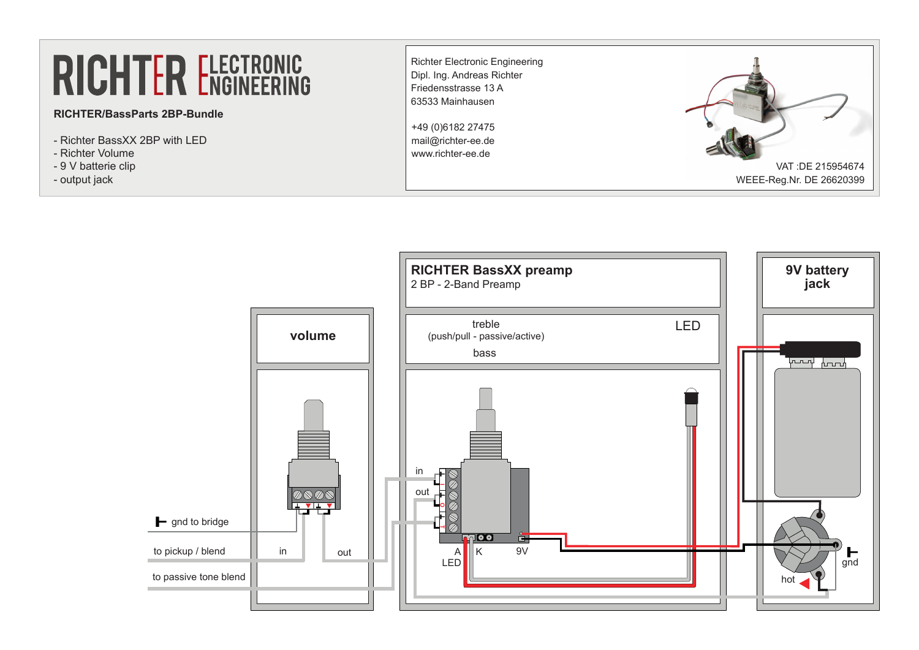## **RICHTER/BassParts 2BP-Bundle**

- Richter BassXX 2BP with LED
- Richter Volume
- 9 V batterie clip
- output jack



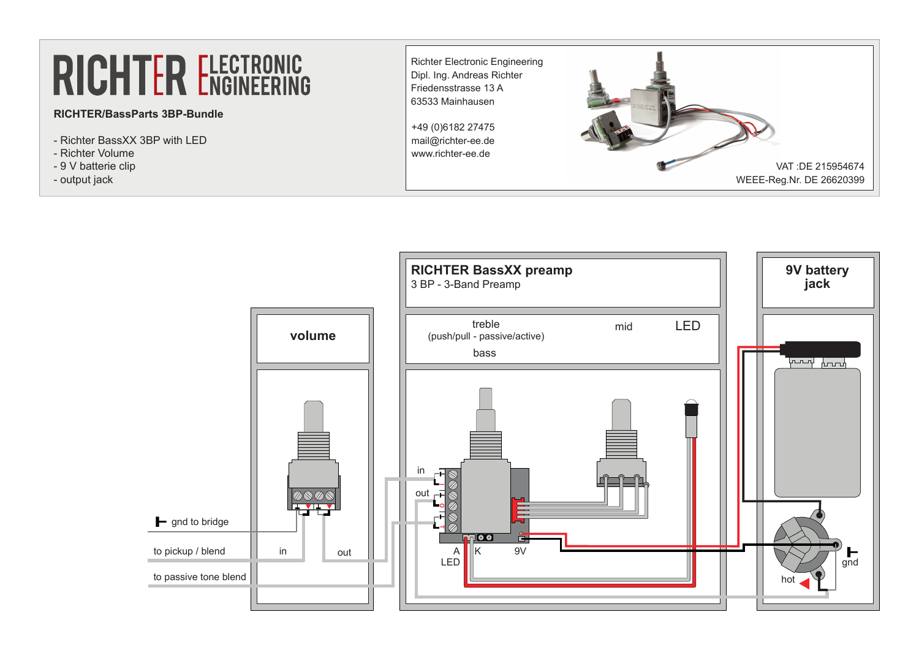## **RICHTER/BassParts 3BP-Bundle**

- Richter BassXX 3BP with LED
- Richter Volume
- 9 V batterie clip
- output jack



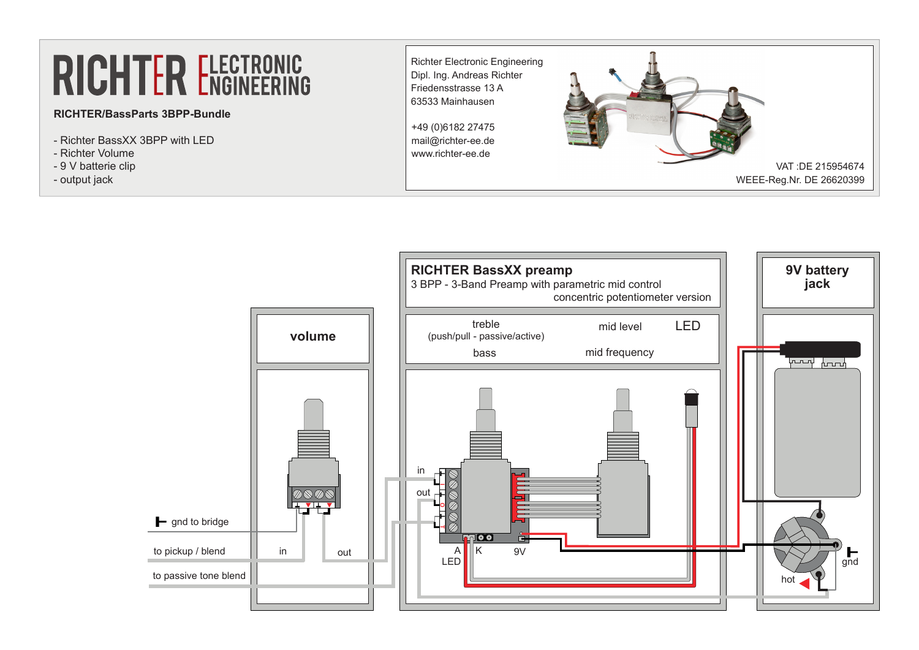## **RICHTER/BassParts 3BPP-Bundle**

- Richter BassXX 3BPP with LED
- Richter Volume
- 9 V batterie clip
- output jack



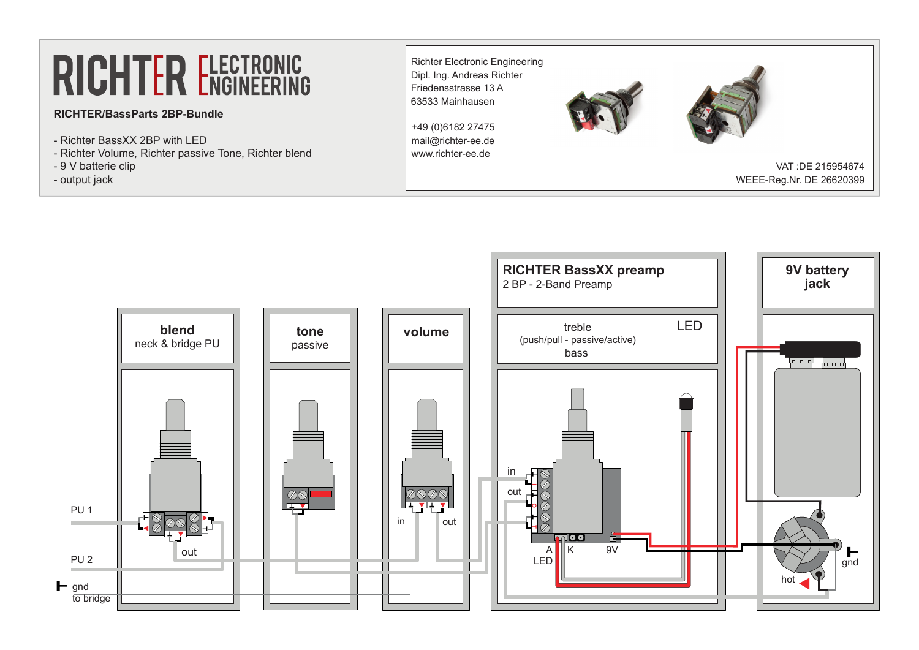## **RICHTER/BassParts 2BP-Bundle**

- Richter BassXX 2BP with LED
- Richter Volume, Richter passive Tone, Richter blend
- 9 V batterie clip
- output jack



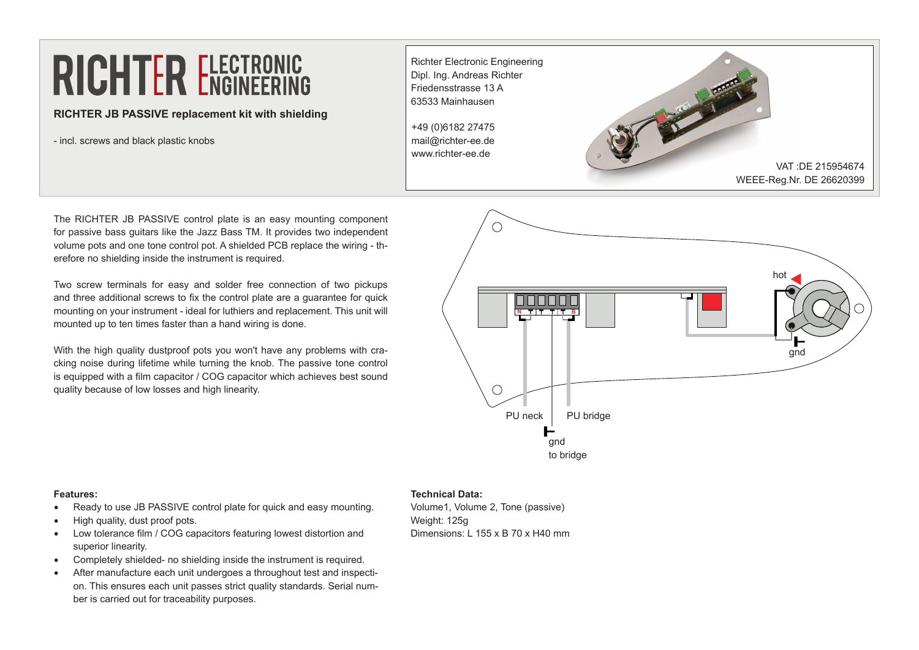### **RICHTER JB PASSIVE replacement kit with shielding**

- incl. screws and black plastic knobs

Richter Electronic Engineering Dipl. Ing. Andreas Richter Friedensstrasse 13 A 63533 Mainhausen +49 (0)6182 27475 mail@richter-ee.de www.richter-ee.de VAT :DE 215954674 WEEE-Reg.Nr. DE 26620399

The RICHTER JB PASSIVE control plate is an easy mounting component for passive bass guitars like the Jazz Bass TM. It provides two independent volume pots and one tone control pot. A shielded PCB replace the wiring - therefore no shielding inside the instrument is required.

Two screw terminals for easy and solder free connection of two pickups and three additional screws to fix the control plate are a guarantee for quick mounting on your instrument - ideal for luthiers and replacement. This unit will mounted up to ten times faster than a hand wiring is done.

With the high quality dustproof pots you won't have any problems with cracking noise during lifetime while turning the knob. The passive tone control is equipped with a film capacitor / COG capacitor which achieves best sound quality because of low losses and high linearity.



#### **Features:**

- Ready to use JB PASSIVE control plate for quick and easy mounting.
- High quality, dust proof pots.
- • Low tolerance film / COG capacitors featuring lowest distortion and superior linearity.
- Completely shielded- no shielding inside the instrument is required.
- After manufacture each unit undergoes a throughout test and inspection. This ensures each unit passes strict quality standards. Serial number is carried out for traceability purposes.

### **Technical Data:**

Volume1, Volume 2, Tone (passive) Weight: 125g Dimensions: L 155 x B 70 x H40 mm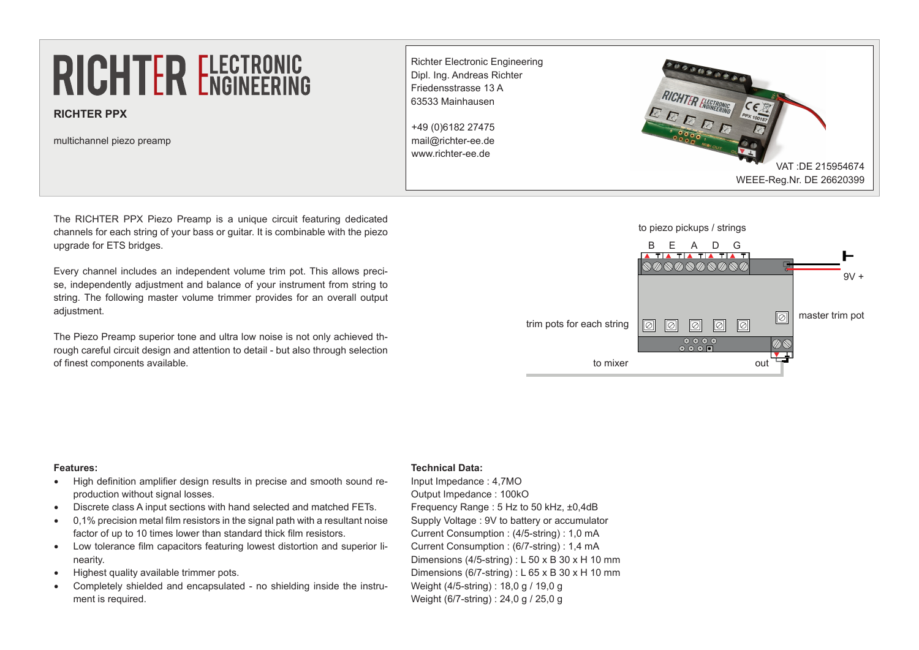**RICHTER PPX**

multichannel piezo preamp

Richter Electronic Engineering Dipl. Ing. Andreas Richter Friedensstrasse 13 A 63533 Mainhausen +49 (0)6182 27475 mail@richter-ee.de www.richter-ee.de



The RICHTER PPX Piezo Preamp is a unique circuit featuring dedicated channels for each string of your bass or guitar. It is combinable with the piezo upgrade for ETS bridges.

Every channel includes an independent volume trim pot. This allows precise, independently adjustment and balance of your instrument from string to string. The following master volume trimmer provides for an overall output adjustment.

The Piezo Preamp superior tone and ultra low noise is not only achieved through careful circuit design and attention to detail - but also through selection of finest components available.

### to piezo pickups / strings



#### **Features:**

- High definition amplifier design results in precise and smooth sound reproduction without signal losses.
- • Discrete class A input sections with hand selected and matched FETs.
- $0.1\%$  precision metal film resistors in the signal path with a resultant noise factor of up to 10 times lower than standard thick film resistors.
- • Low tolerance film capacitors featuring lowest distortion and superior linearity.
- Highest quality available trimmer pots.
- Completely shielded and encapsulated no shielding inside the instrument is required.

#### **Technical Data:**

Input Impedance : 4,7MO Output Impedance : 100kO Frequency Range : 5 Hz to 50 kHz, ±0,4dB Supply Voltage : 9V to battery or accumulator Current Consumption : (4/5-string) : 1,0 mA Current Consumption : (6/7-string) : 1,4 mA Dimensions (4/5-string) : L 50 x B 30 x H 10 mm Dimensions (6/7-string) : L 65 x B 30 x H 10 mm Weight (4/5-string) : 18,0 g / 19,0 g Weight (6/7-string) : 24.0 g / 25.0 g